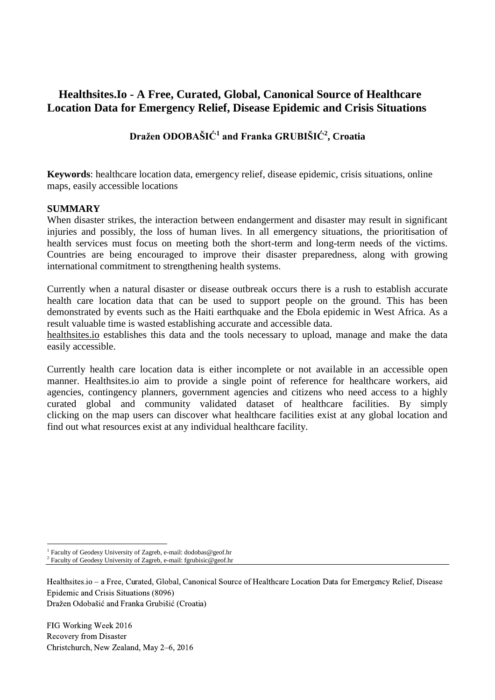# **Healthsites.Io - A Free, Curated, Global, Canonical Source of Healthcare Location Data for Emergency Relief, Disease Epidemic and Crisis Situations**

# **Dražen ODOBAŠIĆ<sup>1</sup> and Franka GRUBIŠIĆ<sup>2</sup> , Croatia**

**Keywords**: healthcare location data, emergency relief, disease epidemic, crisis situations, online maps, easily accessible locations

### **SUMMARY**

When disaster strikes, the interaction between endangerment and disaster may result in significant injuries and possibly, the loss of human lives. In all emergency situations, the prioritisation of health services must focus on meeting both the short-term and long-term needs of the victims. Countries are being encouraged to improve their disaster preparedness, along with growing international commitment to strengthening health systems.

Currently when a natural disaster or disease outbreak occurs there is a rush to establish accurate health care location data that can be used to support people on the ground. This has been demonstrated by events such as the Haiti earthquake and the Ebola epidemic in West Africa. As a result valuable time is wasted establishing accurate and accessible data.

[healthsites.io](http://healthsites.io/) establishes this data and the tools necessary to upload, manage and make the data easily accessible.

Currently health care location data is either incomplete or not available in an accessible open manner. Healthsites.io aim to provide a single point of reference for healthcare workers, aid agencies, contingency planners, government agencies and citizens who need access to a highly curated global and community validated dataset of healthcare facilities. By simply clicking on the map users can discover what healthcare facilities exist at any global location and find out what resources exist at any individual healthcare facility.

Healthsites.io – a Free, Curated, Global, Canonical Source of Healthcare Location Data for Emergency Relief, Disease Epidemic and Crisis Situations (8096)

Dražen Odobašić and Franka Grubišić (Croatia)

FIG Working Week 2016 Recovery from Disaster Christchurch, New Zealand, May 2–6, 2016

 $\overline{a}$ 

<sup>&</sup>lt;sup>1</sup> Faculty of Geodesy University of Zagreb, e-mail: dodobas@geof.hr

<sup>&</sup>lt;sup>2</sup> Faculty of Geodesy University of Zagreb, e-mail: fgrubisic@geof.hr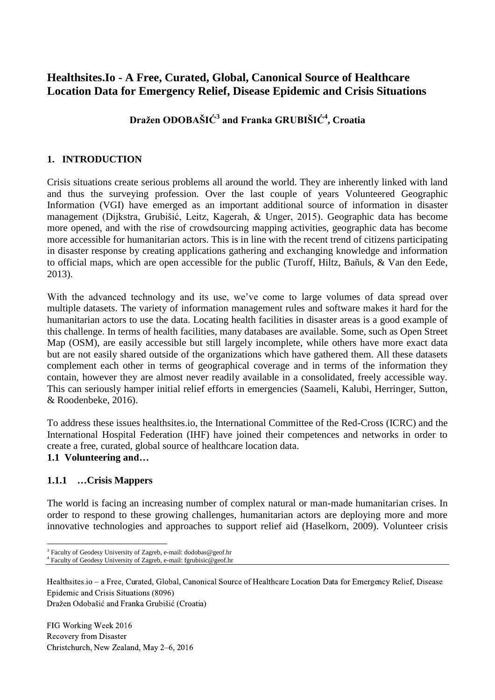# **Healthsites.Io - A Free, Curated, Global, Canonical Source of Healthcare Location Data for Emergency Relief, Disease Epidemic and Crisis Situations**

# **Dražen ODOBAŠIĆ<sup>3</sup> and Franka GRUBIŠIĆ<sup>4</sup> , Croatia**

## **1. INTRODUCTION**

Crisis situations create serious problems all around the world. They are inherently linked with land and thus the surveying profession. Over the last couple of years Volunteered Geographic Information (VGI) have emerged as an important additional source of information in disaster management (Dijkstra, Grubišić, Leitz, Kagerah, & Unger, 2015). Geographic data has become more opened, and with the rise of crowdsourcing mapping activities, geographic data has become more accessible for humanitarian actors. This is in line with the recent trend of citizens participating in disaster response by creating applications gathering and exchanging knowledge and information to official maps, which are open accessible for the public (Turoff, Hiltz, Bañuls, & Van den Eede, 2013).

With the advanced technology and its use, we've come to large volumes of data spread over multiple datasets. The variety of information management rules and software makes it hard for the humanitarian actors to use the data. Locating health facilities in disaster areas is a good example of this challenge. In terms of health facilities, many databases are available. Some, such as Open Street Map (OSM), are easily accessible but still largely incomplete, while others have more exact data but are not easily shared outside of the organizations which have gathered them. All these datasets complement each other in terms of geographical coverage and in terms of the information they contain, however they are almost never readily available in a consolidated, freely accessible way. This can seriously hamper initial relief efforts in emergencies (Saameli, Kalubi, Herringer, Sutton, & Roodenbeke, 2016).

To address these issues healthsites.io, the International Committee of the Red-Cross (ICRC) and the International Hospital Federation (IHF) have joined their competences and networks in order to create a free, curated, global source of healthcare location data.

## **1.1 Volunteering and…**

## **1.1.1 …Crisis Mappers**

 $\overline{a}$ 

The world is facing an increasing number of complex natural or man-made humanitarian crises. In order to respond to these growing challenges, humanitarian actors are deploying more and more innovative technologies and approaches to support relief aid (Haselkorn, 2009). Volunteer crisis

Healthsites.io – a Free, Curated, Global, Canonical Source of Healthcare Location Data for Emergency Relief, Disease Epidemic and Crisis Situations (8096)

Dražen Odobašić and Franka Grubišić (Croatia)

<sup>&</sup>lt;sup>3</sup> Faculty of Geodesy University of Zagreb, e-mail: dodobas@geof.hr

<sup>4</sup> Faculty of Geodesy University of Zagreb, e-mail: fgrubisic@geof.hr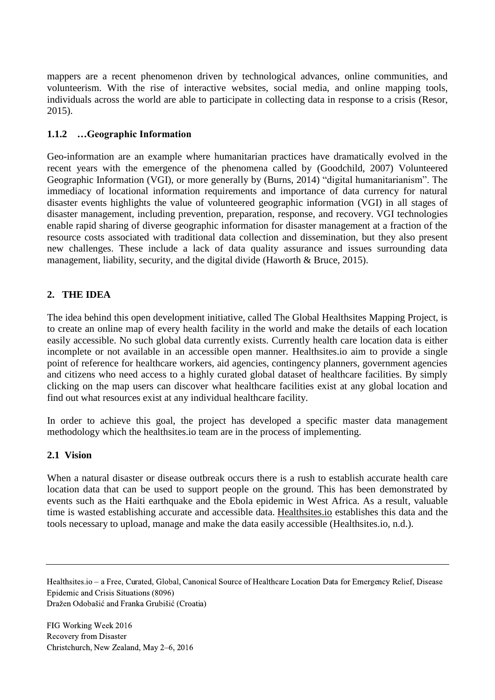mappers are a recent phenomenon driven by technological advances, online communities, and volunteerism. With the rise of interactive websites, social media, and online mapping tools, individuals across the world are able to participate in collecting data in response to a crisis (Resor, 2015).

## **1.1.2 …Geographic Information**

Geo-information are an example where humanitarian practices have dramatically evolved in the recent years with the emergence of the phenomena called by (Goodchild, 2007) Volunteered Geographic Information (VGI), or more generally by (Burns, 2014) "digital humanitarianism". The immediacy of locational information requirements and importance of data currency for natural disaster events highlights the value of volunteered geographic information (VGI) in all stages of disaster management, including prevention, preparation, response, and recovery. VGI technologies enable rapid sharing of diverse geographic information for disaster management at a fraction of the resource costs associated with traditional data collection and dissemination, but they also present new challenges. These include a lack of data quality assurance and issues surrounding data management, liability, security, and the digital divide (Haworth & Bruce, 2015).

## **2. THE IDEA**

The idea behind this open development initiative, called The Global Healthsites Mapping Project, is to create an online map of every health facility in the world and make the details of each location easily accessible. No such global data currently exists. Currently health care location data is either incomplete or not available in an accessible open manner. Healthsites.io aim to provide a single point of reference for healthcare workers, aid agencies, contingency planners, government agencies and citizens who need access to a highly curated global dataset of healthcare facilities. By simply clicking on the map users can discover what healthcare facilities exist at any global location and find out what resources exist at any individual healthcare facility.

In order to achieve this goal, the project has developed a specific master data management methodology which the healthsites.io team are in the process of implementing.

## **2.1 Vision**

When a natural disaster or disease outbreak occurs there is a rush to establish accurate health care location data that can be used to support people on the ground. This has been demonstrated by events such as the Haiti earthquake and the Ebola epidemic in West Africa. As a result, valuable time is wasted establishing accurate and accessible data. [Healthsites.io](http://healthsites.io/) establishes this data and the tools necessary to upload, manage and make the data easily accessible (Healthsites.io, n.d.).

Healthsites.io – a Free, Curated, Global, Canonical Source of Healthcare Location Data for Emergency Relief, Disease Epidemic and Crisis Situations (8096)

Dražen Odobašić and Franka Grubišić (Croatia)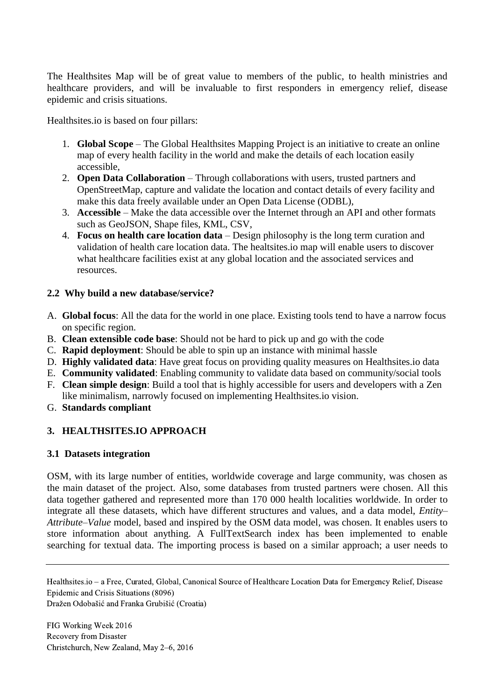The Healthsites Map will be of great value to members of the public, to health ministries and healthcare providers, and will be invaluable to first responders in emergency relief, disease epidemic and crisis situations.

Healthsites.io is based on four pillars:

- 1. **Global Scope** The Global Healthsites Mapping Project is an initiative to create an online map of every health facility in the world and make the details of each location easily accessible,
- 2. **Open Data Collaboration** Through collaborations with users, trusted partners and OpenStreetMap, capture and validate the location and contact details of every facility and make this data freely available under an Open Data License (ODBL),
- 3. **Accessible** Make the data accessible over the Internet through an API and other formats such as GeoJSON, Shape files, KML, CSV,
- 4. **Focus on health care location data** Design philosophy is the long term curation and validation of health care location data. The healtsites.io map will enable users to discover what healthcare facilities exist at any global location and the associated services and resources.

## **2.2 Why build a new database/service?**

- A. **Global focus**: All the data for the world in one place. Existing tools tend to have a narrow focus on specific region.
- B. **Clean extensible code base**: Should not be hard to pick up and go with the code
- C. **Rapid deployment**: Should be able to spin up an instance with minimal hassle
- D. **Highly validated data**: Have great focus on providing quality measures on Healthsites.io data
- E. **Community validated**: Enabling community to validate data based on community/social tools
- F. **Clean simple design**: Build a tool that is highly accessible for users and developers with a Zen like minimalism, narrowly focused on implementing Healthsites.io vision.
- G. **Standards compliant**

## **3. HEALTHSITES.IO APPROACH**

### **3.1 Datasets integration**

OSM, with its large number of entities, worldwide coverage and large community, was chosen as the main dataset of the project. Also, some databases from trusted partners were chosen. All this data together gathered and represented more than 170 000 health localities worldwide. In order to integrate all these datasets, which have different structures and values, and a data model, *Entity– Attribute–Value* model, based and inspired by the OSM data model, was chosen. It enables users to store information about anything. A FullTextSearch index has been implemented to enable searching for textual data. The importing process is based on a similar approach; a user needs to

Healthsites.io – a Free, Curated, Global, Canonical Source of Healthcare Location Data for Emergency Relief, Disease Epidemic and Crisis Situations (8096)

Dražen Odobašić and Franka Grubišić (Croatia)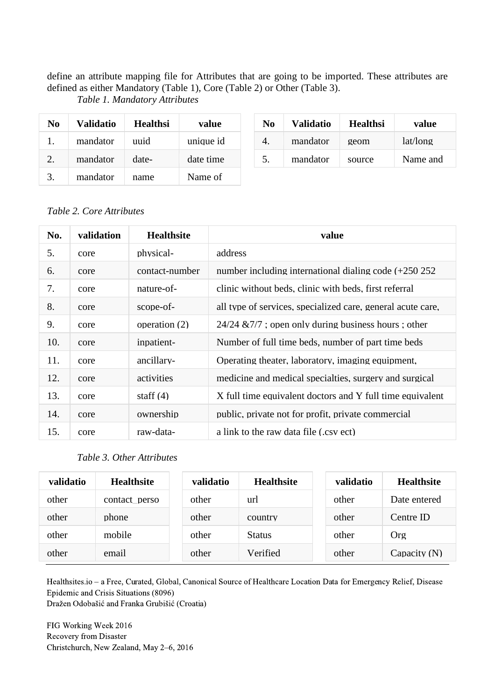define an attribute mapping file for Attributes that are going to be imported. These attributes are defined as either Mandatory (Table 1), Core (Table 2) or Other (Table 3).

*Table 1. Mandatory Attributes*

| No | Validatio | <b>Healthsi</b> | value     | N <sub>0</sub> | <b>Validatio</b> | <b>Healthsi</b> | value    |
|----|-----------|-----------------|-----------|----------------|------------------|-----------------|----------|
| 1. | mandator  | uuid            | unique id | 4.             | mandator         | geom            | lat/long |
| 2. | mandator  | date-           | date time | 5.             | mandator         | source          | Name and |
| 3. | mandator  | name            | Name of   |                |                  |                 |          |

### *Table 2. Core Attributes*

| No. | validation | <b>Healthsite</b> | value                                                       |
|-----|------------|-------------------|-------------------------------------------------------------|
| 5.  | core       | physical-         | address                                                     |
| 6.  | core       | contact-number    | number including international dialing code $(+250 252)$    |
| 7.  | core       | nature-of-        | clinic without beds, clinic with beds, first referral       |
| 8.  | core       | scope-of-         | all type of services, specialized care, general acute care. |
| 9.  | core       | operation (2)     | $24/24 \& 7/7$ ; open only during business hours; other     |
| 10. | core       | inpatient-        | Number of full time beds, number of part time beds          |
| 11. | core       | ancillary-        | Operating theater, laboratory, imaging equipment,           |
| 12. | core       | activities        | medicine and medical specialties, surgery and surgical      |
| 13. | core       | staff $(4)$       | X full time equivalent doctors and Y full time equivalent   |
| 14. | core       | ownership         | public, private not for profit, private commercial          |
| 15. | core       | raw-data-         | a link to the raw data file (.csv ect)                      |

# (5) *Table 3. Other Attributes*

| validatio | <b>Healthsite</b> | validatio | <b>Healthsite</b> | validatio | <b>Healthsite</b> |
|-----------|-------------------|-----------|-------------------|-----------|-------------------|
| other     | contact perso     | other     | url               | other     | Date entered      |
| other     | phone             | other     | country           | other     | Centre ID         |
| other     | mobile            | other     | <b>Status</b>     | other     | Org               |
| other     | email             | other     | Verified          | other     | Capacity $(N)$    |

Healthsites.io – a Free, Curated, Global, Canonical Source of Healthcare Location Data for Emergency Relief, Disease Epidemic and Crisis Situations (8096) Dražen Odobašić and Franka Grubišić (Croatia)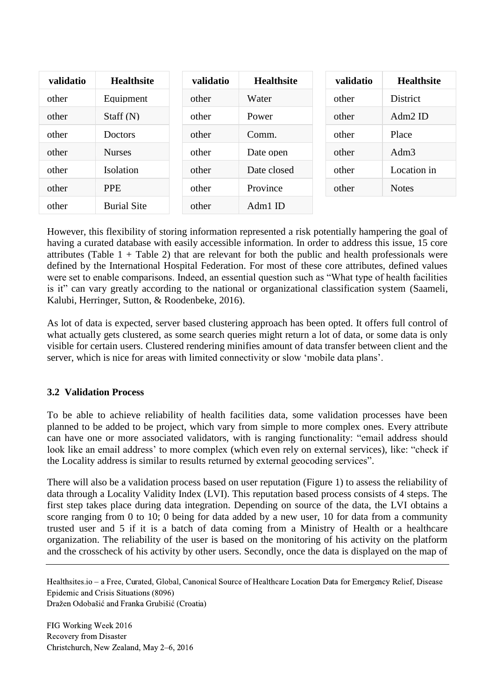| validatio | <b>Healthsite</b>  | validatio | <b>Healthsite</b> | validatio | <b>Healthsite</b> |
|-----------|--------------------|-----------|-------------------|-----------|-------------------|
| other     | Equipment          | other     | Water             | other     | District          |
| other     | Staff $(N)$        | other     | Power             | other     | $Adm2$ ID         |
| other     | Doctors            | other     | Comm.             | other     | Place             |
| other     | <b>Nurses</b>      | other     | Date open         | other     | Adm <sub>3</sub>  |
| other     | <b>Isolation</b>   | other     | Date closed       | other     | Location in       |
| other     | <b>PPE</b>         | other     | Province          | other     | <b>Notes</b>      |
| other     | <b>Burial Site</b> | other     | $Adm1$ ID         |           |                   |

However, this flexibility of storing information represented a risk potentially hampering the goal of having a curated database with easily accessible information. In order to address this issue, 15 core attributes (Table  $1 +$  Table 2) that are relevant for both the public and health professionals were defined by the International Hospital Federation. For most of these core attributes, defined values were set to enable comparisons. Indeed, an essential question such as "What type of health facilities is it" can vary greatly according to the national or organizational classification system (Saameli, Kalubi, Herringer, Sutton, & Roodenbeke, 2016).

As lot of data is expected, server based clustering approach has been opted. It offers full control of what actually gets clustered, as some search queries might return a lot of data, or some data is only visible for certain users. Clustered rendering minifies amount of data transfer between client and the server, which is nice for areas with limited connectivity or slow 'mobile data plans'.

## **3.2 Validation Process**

To be able to achieve reliability of health facilities data, some validation processes have been planned to be added to be project, which vary from simple to more complex ones. Every attribute can have one or more associated validators, with is ranging functionality: "email address should look like an email address' to more complex (which even rely on external services), like: "check if the Locality address is similar to results returned by external geocoding services".

There will also be a validation process based on user reputation (Figure 1) to assess the reliability of data through a Locality Validity Index (LVI). This reputation based process consists of 4 steps. The first step takes place during data integration. Depending on source of the data, the LVI obtains a score ranging from 0 to 10; 0 being for data added by a new user, 10 for data from a community trusted user and 5 if it is a batch of data coming from a Ministry of Health or a healthcare organization. The reliability of the user is based on the monitoring of his activity on the platform and the crosscheck of his activity by other users. Secondly, once the data is displayed on the map of

Healthsites.io – a Free, Curated, Global, Canonical Source of Healthcare Location Data for Emergency Relief, Disease Epidemic and Crisis Situations (8096) Dražen Odobašić and Franka Grubišić (Croatia)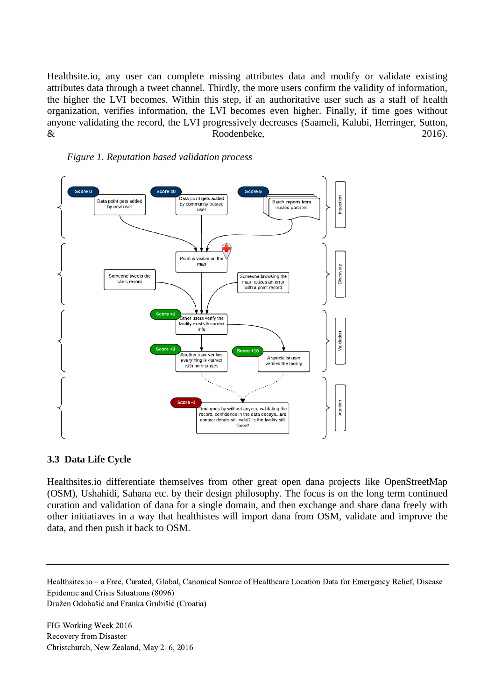Healthsite.io, any user can complete missing attributes data and modify or validate existing attributes data through a tweet channel. Thirdly, the more users confirm the validity of information, the higher the LVI becomes. Within this step, if an authoritative user such as a staff of health organization, verifies information, the LVI becomes even higher. Finally, if time goes without anyone validating the record, the LVI progressively decreases (Saameli, Kalubi, Herringer, Sutton,  $\&$  Roodenbeke, 2016).





### **3.3 Data Life Cycle**

Healthsites.io differentiate themselves from other great open dana projects like OpenStreetMap (OSM), Ushahidi, Sahana etc. by their design philosophy. The focus is on the long term continued curation and validation of dana for a single domain, and then exchange and share dana freely with other initiatiaves in a way that healthistes will import dana from OSM, validate and improve the data, and then push it back to OSM.

Healthsites.io – a Free, Curated, Global, Canonical Source of Healthcare Location Data for Emergency Relief, Disease Epidemic and Crisis Situations (8096) Dražen Odobašić and Franka Grubišić (Croatia)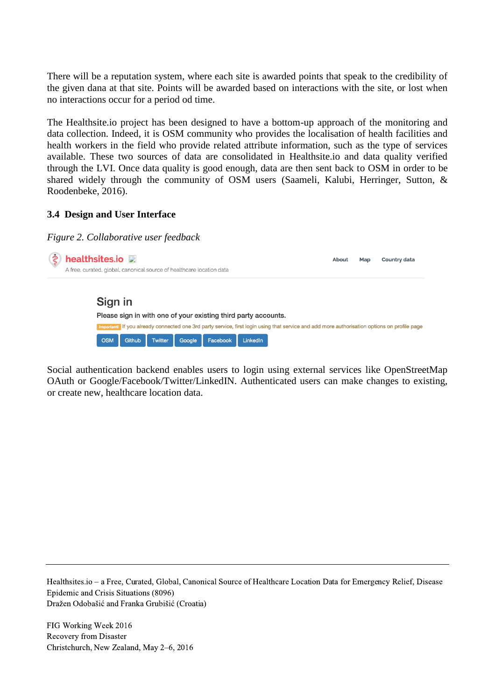There will be a reputation system, where each site is awarded points that speak to the credibility of the given dana at that site. Points will be awarded based on interactions with the site, or lost when no interactions occur for a period od time.

The Healthsite.io project has been designed to have a bottom-up approach of the monitoring and data collection. Indeed, it is OSM community who provides the localisation of health facilities and health workers in the field who provide related attribute information, such as the type of services available. These two sources of data are consolidated in Healthsite.io and data quality verified through the LVI. Once data quality is good enough, data are then sent back to OSM in order to be shared widely through the community of OSM users (Saameli, Kalubi, Herringer, Sutton, & Roodenbeke, 2016).

## **3.4 Design and User Interface**

#### *Figure 2. Collaborative user feedback*



Social authentication backend enables users to login using external services like OpenStreetMap OAuth or Google/Facebook/Twitter/LinkedIN. Authenticated users can make changes to existing, or create new, healthcare location data.

Healthsites.io – a Free, Curated, Global, Canonical Source of Healthcare Location Data for Emergency Relief, Disease Epidemic and Crisis Situations (8096) Dražen Odobašić and Franka Grubišić (Croatia)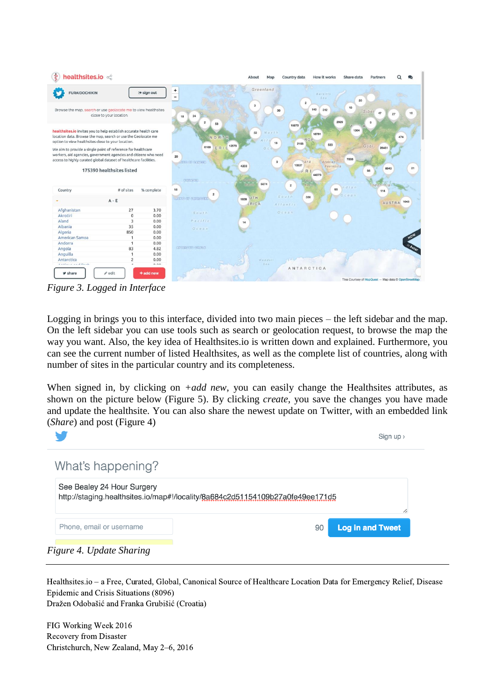

*Figure 3. Logged in Interface*

Logging in brings you to this interface, divided into two main pieces – the left sidebar and the map. On the left sidebar you can use tools such as search or geolocation request, to browse the map the way you want. Also, the key idea of Healthsites.io is written down and explained. Furthermore, you can see the current number of listed Healthsites, as well as the complete list of countries, along with number of sites in the particular country and its completeness.

When signed in, by clicking on *+add new*, you can easily change the Healthsites attributes, as shown on the picture below (Figure 5). By clicking *create*, you save the changes you have made and update the healthsite. You can also share the newest update on Twitter, with an embedded link (*Share*) and post (Figure 4)



Healthsites.io – a Free, Curated, Global, Canonical Source of Healthcare Location Data for Emergency Relief, Disease Epidemic and Crisis Situations (8096) Dražen Odobašić and Franka Grubišić (Croatia)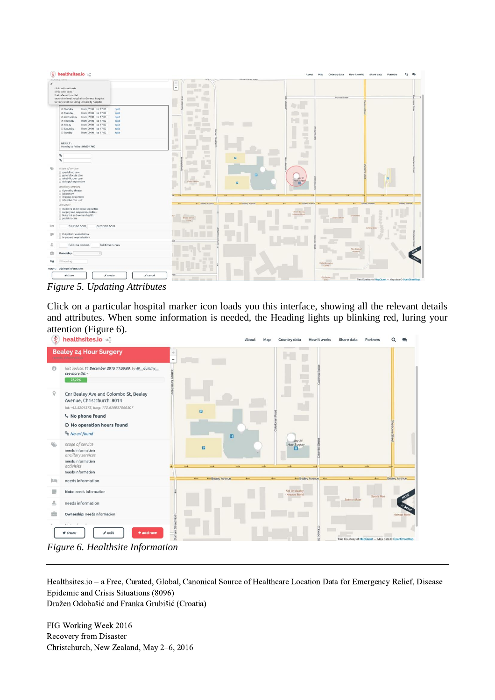

*Figure 5. Updating Attributes*

Click on a particular hospital marker icon loads you this interface, showing all the relevant details and attributes. When some information is needed, the Heading lights up blinking red, luring your attention (Figure 6).<br>  $\oint$  healthsites io  $\oint$ 



*Figure 6. Healthsite Information*

Healthsites.io – a Free, Curated, Global, Canonical Source of Healthcare Location Data for Emergency Relief, Disease Epidemic and Crisis Situations (8096) Dražen Odobašić and Franka Grubišić (Croatia)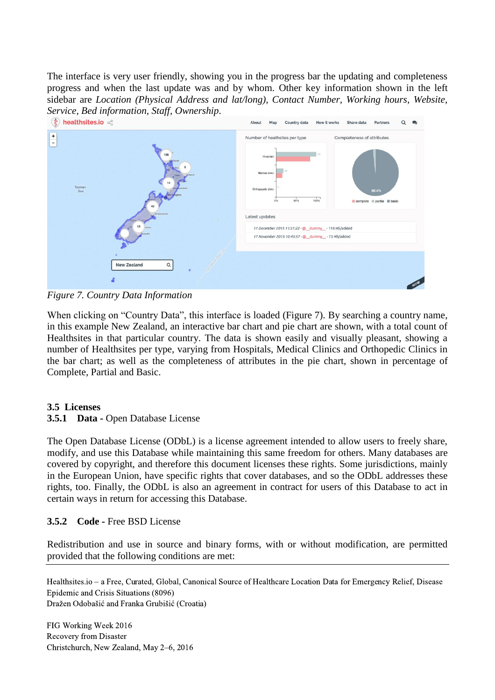The interface is very user friendly, showing you in the progress bar the updating and completeness progress and when the last update was and by whom. Other key information shown in the left sidebar are *Location (Physical Address and lat/long), Contact Number, Working hours, Website, Service, Bed information, Staff, Ownership.*<br> **(3) healthsites.io**  $\leq$ 



*Figure 7. Country Data Information*

When clicking on "Country Data", this interface is loaded (Figure 7). By searching a country name, in this example New Zealand, an interactive bar chart and pie chart are shown, with a total count of Healthsites in that particular country. The data is shown easily and visually pleasant, showing a number of Healthsites per type, varying from Hospitals, Medical Clinics and Orthopedic Clinics in the bar chart; as well as the completeness of attributes in the pie chart, shown in percentage of Complete, Partial and Basic.

## **3.5 Licenses**

## **3.5.1 Data -** Open Database License

The Open Database License (ODbL) is a license agreement intended to allow users to freely share, modify, and use this Database while maintaining this same freedom for others. Many databases are covered by copyright, and therefore this document licenses these rights. Some jurisdictions, mainly in the European Union, have specific rights that cover databases, and so the ODbL addresses these rights, too. Finally, the ODbL is also an agreement in contract for users of this Database to act in certain ways in return for accessing this Database.

## **3.5.2 Code -** Free BSD License

Redistribution and use in source and binary forms, with or without modification, are permitted provided that the following conditions are met:

Healthsites.io – a Free, Curated, Global, Canonical Source of Healthcare Location Data for Emergency Relief, Disease Epidemic and Crisis Situations (8096) Dražen Odobašić and Franka Grubišić (Croatia)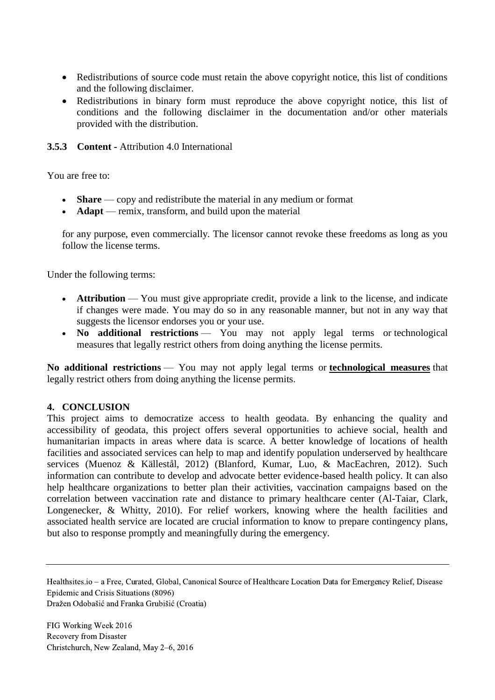- Redistributions of source code must retain the above copyright notice, this list of conditions and the following disclaimer.
- Redistributions in binary form must reproduce the above copyright notice, this list of conditions and the following disclaimer in the documentation and/or other materials provided with the distribution.

**3.5.3 Content -** Attribution 4.0 International

You are free to:

- **Share** copy and redistribute the material in any medium or format
- **Adapt** remix, transform, and build upon the material

for any purpose, even commercially. The licensor cannot revoke these freedoms as long as you follow the license terms.

Under the following terms:

- **Attribution** You must give [appropriate credit,](https://creativecommons.org/licenses/by/4.0/) provide a link to the license, and indicate [if changes were made.](https://creativecommons.org/licenses/by/4.0/) You may do so in any reasonable manner, but not in any way that suggests the licensor endorses you or your use.
- No additional restrictions You may not apply legal terms or technological [measures](https://creativecommons.org/licenses/by/4.0/) that legally restrict others from doing anything the license permits.

**No additional restrictions** — You may not apply legal terms or **[technological measures](https://creativecommons.org/licenses/by/4.0/)** that legally restrict others from doing anything the license permits.

## **4. CONCLUSION**

This project aims to democratize access to health geodata. By enhancing the quality and accessibility of geodata, this project offers several opportunities to achieve social, health and humanitarian impacts in areas where data is scarce. A better knowledge of locations of health facilities and associated services can help to map and identify population underserved by healthcare services (Muenoz & Källestål, 2012) (Blanford, Kumar, Luo, & MacEachren, 2012). Such information can contribute to develop and advocate better evidence-based health policy. It can also help healthcare organizations to better plan their activities, vaccination campaigns based on the correlation between vaccination rate and distance to primary healthcare center (Al-Taiar, Clark, Longenecker, & Whitty, 2010). For relief workers, knowing where the health facilities and associated health service are located are crucial information to know to prepare contingency plans, but also to response promptly and meaningfully during the emergency.

Healthsites.io – a Free, Curated, Global, Canonical Source of Healthcare Location Data for Emergency Relief, Disease Epidemic and Crisis Situations (8096)

Dražen Odobašić and Franka Grubišić (Croatia)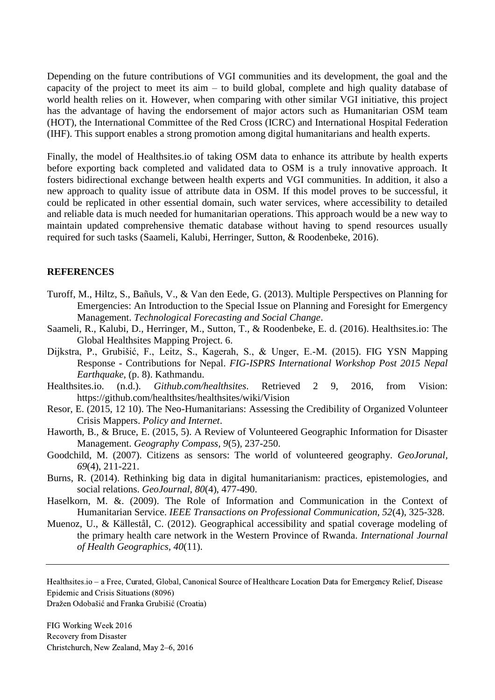Depending on the future contributions of VGI communities and its development, the goal and the capacity of the project to meet its aim – to build global, complete and high quality database of world health relies on it. However, when comparing with other similar VGI initiative, this project has the advantage of having the endorsement of major actors such as Humanitarian OSM team (HOT), the International Committee of the Red Cross (ICRC) and International Hospital Federation (IHF). This support enables a strong promotion among digital humanitarians and health experts.

Finally, the model of Healthsites.io of taking OSM data to enhance its attribute by health experts before exporting back completed and validated data to OSM is a truly innovative approach. It fosters bidirectional exchange between health experts and VGI communities. In addition, it also a new approach to quality issue of attribute data in OSM. If this model proves to be successful, it could be replicated in other essential domain, such water services, where accessibility to detailed and reliable data is much needed for humanitarian operations. This approach would be a new way to maintain updated comprehensive thematic database without having to spend resources usually required for such tasks (Saameli, Kalubi, Herringer, Sutton, & Roodenbeke, 2016).

#### **REFERENCES**

- Turoff, M., Hiltz, S., Bañuls, V., & Van den Eede, G. (2013). Multiple Perspectives on Planning for Emergencies: An Introduction to the Special Issue on Planning and Foresight for Emergency Management. *Technological Forecasting and Social Change*.
- Saameli, R., Kalubi, D., Herringer, M., Sutton, T., & Roodenbeke, E. d. (2016). Healthsites.io: The Global Healthsites Mapping Project. 6.
- Dijkstra, P., Grubišić, F., Leitz, S., Kagerah, S., & Unger, E.-M. (2015). FIG YSN Mapping Response - Contributions for Nepal. *FIG-ISPRS International Workshop Post 2015 Nepal Earthquake*, (p. 8). Kathmandu.

Healthsites.io. (n.d.). *Github.com/healthsites*. Retrieved 2 9, 2016, from Vision: https://github.com/healthsites/healthsites/wiki/Vision

- Resor, E. (2015, 12 10). The Neo-Humanitarians: Assessing the Credibility of Organized Volunteer Crisis Mappers. *Policy and Internet*.
- Haworth, B., & Bruce, E. (2015, 5). A Review of Volunteered Geographic Information for Disaster Management. *Geography Compass, 9*(5), 237-250.
- Goodchild, M. (2007). Citizens as sensors: The world of volunteered geography. *GeoJorunal, 69*(4), 211-221.
- Burns, R. (2014). Rethinking big data in digital humanitarianism: practices, epistemologies, and social relations. *GeoJournal, 80*(4), 477-490.
- Haselkorn, M. &. (2009). The Role of Information and Communication in the Context of Humanitarian Service. *IEEE Transactions on Professional Communication, 52*(4), 325-328.
- Muenoz, U., & Källestål, C. (2012). Geographical accessibility and spatial coverage modeling of the primary health care network in the Western Province of Rwanda. *International Journal of Health Geographics, 40*(11).

Healthsites.io – a Free, Curated, Global, Canonical Source of Healthcare Location Data for Emergency Relief, Disease Epidemic and Crisis Situations (8096)

Dražen Odobašić and Franka Grubišić (Croatia)